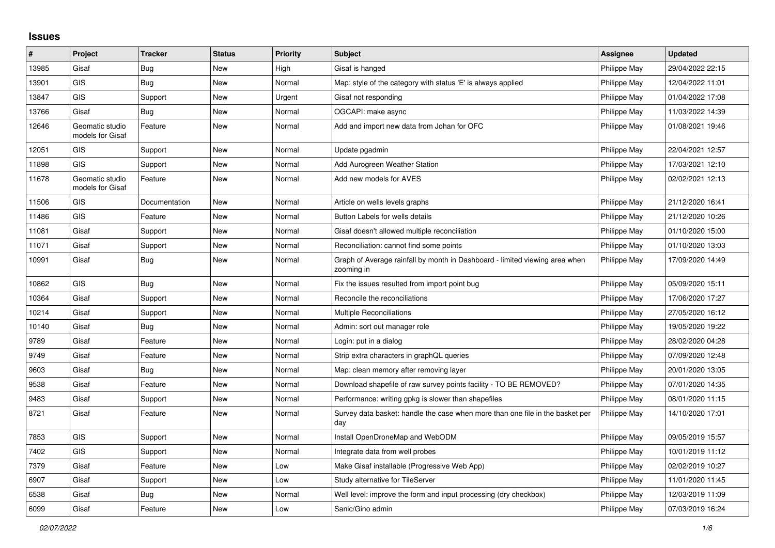## **Issues**

| #     | Project                             | <b>Tracker</b> | <b>Status</b> | <b>Priority</b> | <b>Subject</b>                                                                            | <b>Assignee</b> | <b>Updated</b>   |
|-------|-------------------------------------|----------------|---------------|-----------------|-------------------------------------------------------------------------------------------|-----------------|------------------|
| 13985 | Gisaf                               | Bug            | New           | High            | Gisaf is hanged                                                                           | Philippe May    | 29/04/2022 22:15 |
| 13901 | <b>GIS</b>                          | <b>Bug</b>     | New           | Normal          | Map: style of the category with status 'E' is always applied                              | Philippe May    | 12/04/2022 11:01 |
| 13847 | <b>GIS</b>                          | Support        | New           | Urgent          | Gisaf not responding                                                                      | Philippe May    | 01/04/2022 17:08 |
| 13766 | Gisaf                               | Bug            | New           | Normal          | OGCAPI: make async                                                                        | Philippe May    | 11/03/2022 14:39 |
| 12646 | Geomatic studio<br>models for Gisaf | Feature        | New           | Normal          | Add and import new data from Johan for OFC                                                | Philippe May    | 01/08/2021 19:46 |
| 12051 | <b>GIS</b>                          | Support        | New           | Normal          | Update pgadmin                                                                            | Philippe May    | 22/04/2021 12:57 |
| 11898 | <b>GIS</b>                          | Support        | New           | Normal          | Add Aurogreen Weather Station                                                             | Philippe May    | 17/03/2021 12:10 |
| 11678 | Geomatic studio<br>models for Gisaf | Feature        | New           | Normal          | Add new models for AVES                                                                   | Philippe May    | 02/02/2021 12:13 |
| 11506 | <b>GIS</b>                          | Documentation  | <b>New</b>    | Normal          | Article on wells levels graphs                                                            | Philippe May    | 21/12/2020 16:41 |
| 11486 | <b>GIS</b>                          | Feature        | New           | Normal          | Button Labels for wells details                                                           | Philippe May    | 21/12/2020 10:26 |
| 11081 | Gisaf                               | Support        | New           | Normal          | Gisaf doesn't allowed multiple reconciliation                                             | Philippe May    | 01/10/2020 15:00 |
| 11071 | Gisaf                               | Support        | New           | Normal          | Reconciliation: cannot find some points                                                   | Philippe May    | 01/10/2020 13:03 |
| 10991 | Gisaf                               | Bug            | New           | Normal          | Graph of Average rainfall by month in Dashboard - limited viewing area when<br>zooming in | Philippe May    | 17/09/2020 14:49 |
| 10862 | <b>GIS</b>                          | Bug            | New           | Normal          | Fix the issues resulted from import point bug                                             | Philippe May    | 05/09/2020 15:11 |
| 10364 | Gisaf                               | Support        | New           | Normal          | Reconcile the reconciliations                                                             | Philippe May    | 17/06/2020 17:27 |
| 10214 | Gisaf                               | Support        | New           | Normal          | <b>Multiple Reconciliations</b>                                                           | Philippe May    | 27/05/2020 16:12 |
| 10140 | Gisaf                               | <b>Bug</b>     | New           | Normal          | Admin: sort out manager role                                                              | Philippe May    | 19/05/2020 19:22 |
| 9789  | Gisaf                               | Feature        | New           | Normal          | Login: put in a dialog                                                                    | Philippe May    | 28/02/2020 04:28 |
| 9749  | Gisaf                               | Feature        | New           | Normal          | Strip extra characters in graphQL queries                                                 | Philippe May    | 07/09/2020 12:48 |
| 9603  | Gisaf                               | Bug            | New           | Normal          | Map: clean memory after removing layer                                                    | Philippe May    | 20/01/2020 13:05 |
| 9538  | Gisaf                               | Feature        | New           | Normal          | Download shapefile of raw survey points facility - TO BE REMOVED?                         | Philippe May    | 07/01/2020 14:35 |
| 9483  | Gisaf                               | Support        | New           | Normal          | Performance: writing gpkg is slower than shapefiles                                       | Philippe May    | 08/01/2020 11:15 |
| 8721  | Gisaf                               | Feature        | New           | Normal          | Survey data basket: handle the case when more than one file in the basket per<br>day      | Philippe May    | 14/10/2020 17:01 |
| 7853  | <b>GIS</b>                          | Support        | New           | Normal          | Install OpenDroneMap and WebODM                                                           | Philippe May    | 09/05/2019 15:57 |
| 7402  | GIS                                 | Support        | New           | Normal          | Integrate data from well probes                                                           | Philippe May    | 10/01/2019 11:12 |
| 7379  | Gisaf                               | Feature        | New           | Low             | Make Gisaf installable (Progressive Web App)                                              | Philippe May    | 02/02/2019 10:27 |
| 6907  | Gisaf                               | Support        | New           | Low             | Study alternative for TileServer                                                          | Philippe May    | 11/01/2020 11:45 |
| 6538  | Gisaf                               | <b>Bug</b>     | New           | Normal          | Well level: improve the form and input processing (dry checkbox)                          | Philippe May    | 12/03/2019 11:09 |
| 6099  | Gisaf                               | Feature        | New           | Low             | Sanic/Gino admin                                                                          | Philippe May    | 07/03/2019 16:24 |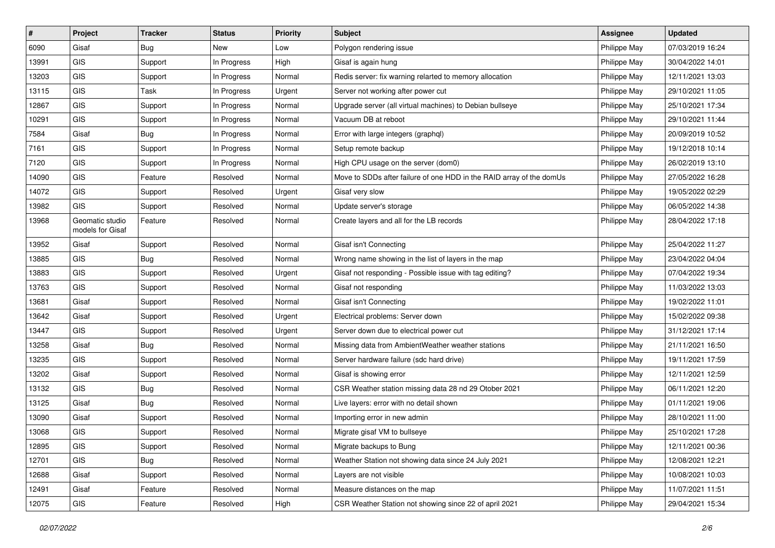| #     | Project                             | <b>Tracker</b> | <b>Status</b> | <b>Priority</b> | <b>Subject</b>                                                       | <b>Assignee</b> | <b>Updated</b>   |
|-------|-------------------------------------|----------------|---------------|-----------------|----------------------------------------------------------------------|-----------------|------------------|
| 6090  | Gisaf                               | <b>Bug</b>     | New           | Low             | Polygon rendering issue                                              | Philippe May    | 07/03/2019 16:24 |
| 13991 | GIS                                 | Support        | In Progress   | High            | Gisaf is again hung                                                  | Philippe May    | 30/04/2022 14:01 |
| 13203 | GIS                                 | Support        | In Progress   | Normal          | Redis server: fix warning relarted to memory allocation              | Philippe May    | 12/11/2021 13:03 |
| 13115 | GIS                                 | Task           | In Progress   | Urgent          | Server not working after power cut                                   | Philippe May    | 29/10/2021 11:05 |
| 12867 | GIS                                 | Support        | In Progress   | Normal          | Upgrade server (all virtual machines) to Debian bullseye             | Philippe May    | 25/10/2021 17:34 |
| 10291 | GIS                                 | Support        | In Progress   | Normal          | Vacuum DB at reboot                                                  | Philippe May    | 29/10/2021 11:44 |
| 7584  | Gisaf                               | <b>Bug</b>     | In Progress   | Normal          | Error with large integers (graphql)                                  | Philippe May    | 20/09/2019 10:52 |
| 7161  | GIS                                 | Support        | In Progress   | Normal          | Setup remote backup                                                  | Philippe May    | 19/12/2018 10:14 |
| 7120  | GIS                                 | Support        | In Progress   | Normal          | High CPU usage on the server (dom0)                                  | Philippe May    | 26/02/2019 13:10 |
| 14090 | GIS                                 | Feature        | Resolved      | Normal          | Move to SDDs after failure of one HDD in the RAID array of the domUs | Philippe May    | 27/05/2022 16:28 |
| 14072 | GIS                                 | Support        | Resolved      | Urgent          | Gisaf very slow                                                      | Philippe May    | 19/05/2022 02:29 |
| 13982 | <b>GIS</b>                          | Support        | Resolved      | Normal          | Update server's storage                                              | Philippe May    | 06/05/2022 14:38 |
| 13968 | Geomatic studio<br>models for Gisaf | Feature        | Resolved      | Normal          | Create layers and all for the LB records                             | Philippe May    | 28/04/2022 17:18 |
| 13952 | Gisaf                               | Support        | Resolved      | Normal          | Gisaf isn't Connecting                                               | Philippe May    | 25/04/2022 11:27 |
| 13885 | GIS                                 | Bug            | Resolved      | Normal          | Wrong name showing in the list of layers in the map                  | Philippe May    | 23/04/2022 04:04 |
| 13883 | GIS                                 | Support        | Resolved      | Urgent          | Gisaf not responding - Possible issue with tag editing?              | Philippe May    | 07/04/2022 19:34 |
| 13763 | GIS                                 | Support        | Resolved      | Normal          | Gisaf not responding                                                 | Philippe May    | 11/03/2022 13:03 |
| 13681 | Gisaf                               | Support        | Resolved      | Normal          | Gisaf isn't Connecting                                               | Philippe May    | 19/02/2022 11:01 |
| 13642 | Gisaf                               | Support        | Resolved      | Urgent          | Electrical problems: Server down                                     | Philippe May    | 15/02/2022 09:38 |
| 13447 | GIS                                 | Support        | Resolved      | Urgent          | Server down due to electrical power cut                              | Philippe May    | 31/12/2021 17:14 |
| 13258 | Gisaf                               | <b>Bug</b>     | Resolved      | Normal          | Missing data from AmbientWeather weather stations                    | Philippe May    | 21/11/2021 16:50 |
| 13235 | <b>GIS</b>                          | Support        | Resolved      | Normal          | Server hardware failure (sdc hard drive)                             | Philippe May    | 19/11/2021 17:59 |
| 13202 | Gisaf                               | Support        | Resolved      | Normal          | Gisaf is showing error                                               | Philippe May    | 12/11/2021 12:59 |
| 13132 | GIS                                 | <b>Bug</b>     | Resolved      | Normal          | CSR Weather station missing data 28 nd 29 Otober 2021                | Philippe May    | 06/11/2021 12:20 |
| 13125 | Gisaf                               | Bug            | Resolved      | Normal          | Live layers: error with no detail shown                              | Philippe May    | 01/11/2021 19:06 |
| 13090 | Gisaf                               | Support        | Resolved      | Normal          | Importing error in new admin                                         | Philippe May    | 28/10/2021 11:00 |
| 13068 | GIS                                 | Support        | Resolved      | Normal          | Migrate gisaf VM to bullseye                                         | Philippe May    | 25/10/2021 17:28 |
| 12895 | GIS                                 | Support        | Resolved      | Normal          | Migrate backups to Bung                                              | Philippe May    | 12/11/2021 00:36 |
| 12701 | GIS                                 | <b>Bug</b>     | Resolved      | Normal          | Weather Station not showing data since 24 July 2021                  | Philippe May    | 12/08/2021 12:21 |
| 12688 | Gisaf                               | Support        | Resolved      | Normal          | Layers are not visible                                               | Philippe May    | 10/08/2021 10:03 |
| 12491 | Gisaf                               | Feature        | Resolved      | Normal          | Measure distances on the map                                         | Philippe May    | 11/07/2021 11:51 |
| 12075 | GIS                                 | Feature        | Resolved      | High            | CSR Weather Station not showing since 22 of april 2021               | Philippe May    | 29/04/2021 15:34 |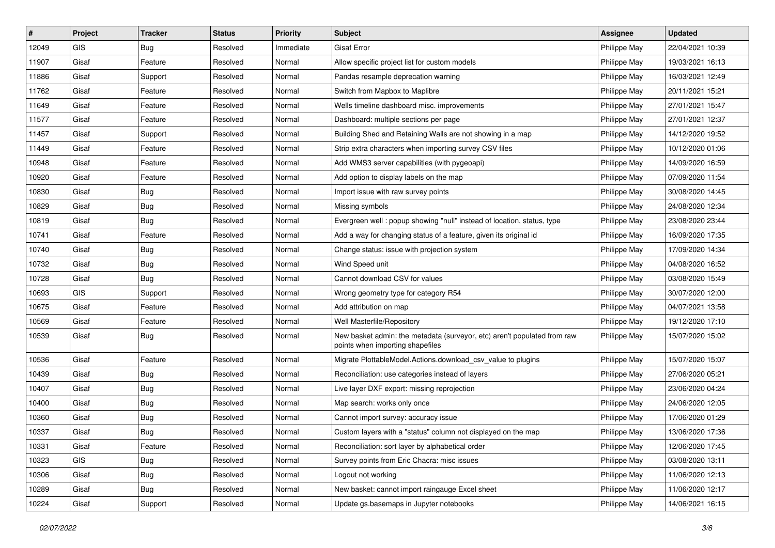| #     | Project    | <b>Tracker</b> | <b>Status</b> | <b>Priority</b> | <b>Subject</b>                                                                                               | Assignee     | <b>Updated</b>   |
|-------|------------|----------------|---------------|-----------------|--------------------------------------------------------------------------------------------------------------|--------------|------------------|
| 12049 | <b>GIS</b> | <b>Bug</b>     | Resolved      | Immediate       | <b>Gisaf Error</b>                                                                                           | Philippe May | 22/04/2021 10:39 |
| 11907 | Gisaf      | Feature        | Resolved      | Normal          | Allow specific project list for custom models                                                                | Philippe May | 19/03/2021 16:13 |
| 11886 | Gisaf      | Support        | Resolved      | Normal          | Pandas resample deprecation warning                                                                          | Philippe May | 16/03/2021 12:49 |
| 11762 | Gisaf      | Feature        | Resolved      | Normal          | Switch from Mapbox to Maplibre                                                                               | Philippe May | 20/11/2021 15:21 |
| 11649 | Gisaf      | Feature        | Resolved      | Normal          | Wells timeline dashboard misc. improvements                                                                  | Philippe May | 27/01/2021 15:47 |
| 11577 | Gisaf      | Feature        | Resolved      | Normal          | Dashboard: multiple sections per page                                                                        | Philippe May | 27/01/2021 12:37 |
| 11457 | Gisaf      | Support        | Resolved      | Normal          | Building Shed and Retaining Walls are not showing in a map                                                   | Philippe May | 14/12/2020 19:52 |
| 11449 | Gisaf      | Feature        | Resolved      | Normal          | Strip extra characters when importing survey CSV files                                                       | Philippe May | 10/12/2020 01:06 |
| 10948 | Gisaf      | Feature        | Resolved      | Normal          | Add WMS3 server capabilities (with pygeoapi)                                                                 | Philippe May | 14/09/2020 16:59 |
| 10920 | Gisaf      | Feature        | Resolved      | Normal          | Add option to display labels on the map                                                                      | Philippe May | 07/09/2020 11:54 |
| 10830 | Gisaf      | <b>Bug</b>     | Resolved      | Normal          | Import issue with raw survey points                                                                          | Philippe May | 30/08/2020 14:45 |
| 10829 | Gisaf      | <b>Bug</b>     | Resolved      | Normal          | Missing symbols                                                                                              | Philippe May | 24/08/2020 12:34 |
| 10819 | Gisaf      | Bug            | Resolved      | Normal          | Evergreen well: popup showing "null" instead of location, status, type                                       | Philippe May | 23/08/2020 23:44 |
| 10741 | Gisaf      | Feature        | Resolved      | Normal          | Add a way for changing status of a feature, given its original id                                            | Philippe May | 16/09/2020 17:35 |
| 10740 | Gisaf      | <b>Bug</b>     | Resolved      | Normal          | Change status: issue with projection system                                                                  | Philippe May | 17/09/2020 14:34 |
| 10732 | Gisaf      | <b>Bug</b>     | Resolved      | Normal          | Wind Speed unit                                                                                              | Philippe May | 04/08/2020 16:52 |
| 10728 | Gisaf      | <b>Bug</b>     | Resolved      | Normal          | Cannot download CSV for values                                                                               | Philippe May | 03/08/2020 15:49 |
| 10693 | <b>GIS</b> | Support        | Resolved      | Normal          | Wrong geometry type for category R54                                                                         | Philippe May | 30/07/2020 12:00 |
| 10675 | Gisaf      | Feature        | Resolved      | Normal          | Add attribution on map                                                                                       | Philippe May | 04/07/2021 13:58 |
| 10569 | Gisaf      | Feature        | Resolved      | Normal          | Well Masterfile/Repository                                                                                   | Philippe May | 19/12/2020 17:10 |
| 10539 | Gisaf      | <b>Bug</b>     | Resolved      | Normal          | New basket admin: the metadata (surveyor, etc) aren't populated from raw<br>points when importing shapefiles | Philippe May | 15/07/2020 15:02 |
| 10536 | Gisaf      | Feature        | Resolved      | Normal          | Migrate PlottableModel.Actions.download_csv_value to plugins                                                 | Philippe May | 15/07/2020 15:07 |
| 10439 | Gisaf      | <b>Bug</b>     | Resolved      | Normal          | Reconciliation: use categories instead of layers                                                             | Philippe May | 27/06/2020 05:21 |
| 10407 | Gisaf      | <b>Bug</b>     | Resolved      | Normal          | Live layer DXF export: missing reprojection                                                                  | Philippe May | 23/06/2020 04:24 |
| 10400 | Gisaf      | <b>Bug</b>     | Resolved      | Normal          | Map search: works only once                                                                                  | Philippe May | 24/06/2020 12:05 |
| 10360 | Gisaf      | <b>Bug</b>     | Resolved      | Normal          | Cannot import survey: accuracy issue                                                                         | Philippe May | 17/06/2020 01:29 |
| 10337 | Gisaf      | <b>Bug</b>     | Resolved      | Normal          | Custom layers with a "status" column not displayed on the map                                                | Philippe May | 13/06/2020 17:36 |
| 10331 | Gisaf      | Feature        | Resolved      | Normal          | Reconciliation: sort layer by alphabetical order                                                             | Philippe May | 12/06/2020 17:45 |
| 10323 | GIS        | Bug            | Resolved      | Normal          | Survey points from Eric Chacra: misc issues                                                                  | Philippe May | 03/08/2020 13:11 |
| 10306 | Gisaf      | <b>Bug</b>     | Resolved      | Normal          | Logout not working                                                                                           | Philippe May | 11/06/2020 12:13 |
| 10289 | Gisaf      | <b>Bug</b>     | Resolved      | Normal          | New basket: cannot import raingauge Excel sheet                                                              | Philippe May | 11/06/2020 12:17 |
| 10224 | Gisaf      | Support        | Resolved      | Normal          | Update gs.basemaps in Jupyter notebooks                                                                      | Philippe May | 14/06/2021 16:15 |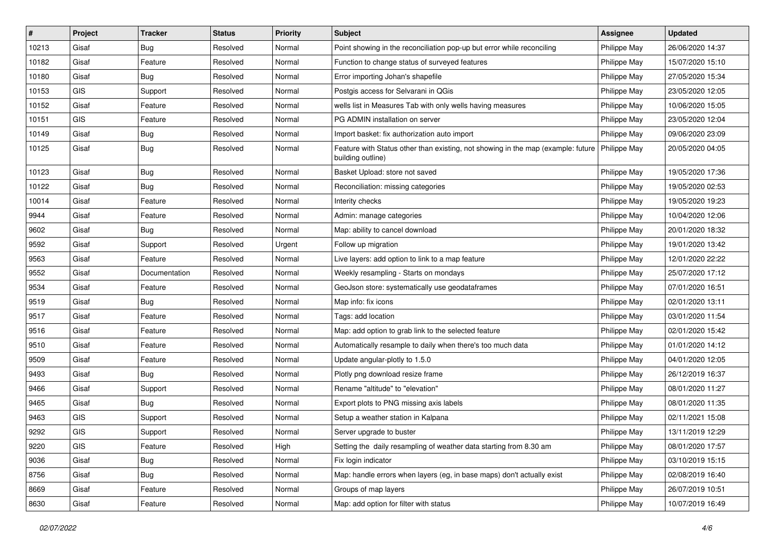| #     | Project    | <b>Tracker</b> | <b>Status</b> | Priority | <b>Subject</b>                                                                                        | <b>Assignee</b> | <b>Updated</b>   |
|-------|------------|----------------|---------------|----------|-------------------------------------------------------------------------------------------------------|-----------------|------------------|
| 10213 | Gisaf      | <b>Bug</b>     | Resolved      | Normal   | Point showing in the reconciliation pop-up but error while reconciling                                | Philippe May    | 26/06/2020 14:37 |
| 10182 | Gisaf      | Feature        | Resolved      | Normal   | Function to change status of surveyed features                                                        | Philippe May    | 15/07/2020 15:10 |
| 10180 | Gisaf      | Bug            | Resolved      | Normal   | Error importing Johan's shapefile                                                                     | Philippe May    | 27/05/2020 15:34 |
| 10153 | GIS        | Support        | Resolved      | Normal   | Postgis access for Selvarani in QGis                                                                  | Philippe May    | 23/05/2020 12:05 |
| 10152 | Gisaf      | Feature        | Resolved      | Normal   | wells list in Measures Tab with only wells having measures                                            | Philippe May    | 10/06/2020 15:05 |
| 10151 | <b>GIS</b> | Feature        | Resolved      | Normal   | PG ADMIN installation on server                                                                       | Philippe May    | 23/05/2020 12:04 |
| 10149 | Gisaf      | Bug            | Resolved      | Normal   | Import basket: fix authorization auto import                                                          | Philippe May    | 09/06/2020 23:09 |
| 10125 | Gisaf      | Bug            | Resolved      | Normal   | Feature with Status other than existing, not showing in the map (example: future<br>building outline) | Philippe May    | 20/05/2020 04:05 |
| 10123 | Gisaf      | Bug            | Resolved      | Normal   | Basket Upload: store not saved                                                                        | Philippe May    | 19/05/2020 17:36 |
| 10122 | Gisaf      | <b>Bug</b>     | Resolved      | Normal   | Reconciliation: missing categories                                                                    | Philippe May    | 19/05/2020 02:53 |
| 10014 | Gisaf      | Feature        | Resolved      | Normal   | Interity checks                                                                                       | Philippe May    | 19/05/2020 19:23 |
| 9944  | Gisaf      | Feature        | Resolved      | Normal   | Admin: manage categories                                                                              | Philippe May    | 10/04/2020 12:06 |
| 9602  | Gisaf      | <b>Bug</b>     | Resolved      | Normal   | Map: ability to cancel download                                                                       | Philippe May    | 20/01/2020 18:32 |
| 9592  | Gisaf      | Support        | Resolved      | Urgent   | Follow up migration                                                                                   | Philippe May    | 19/01/2020 13:42 |
| 9563  | Gisaf      | Feature        | Resolved      | Normal   | Live layers: add option to link to a map feature                                                      | Philippe May    | 12/01/2020 22:22 |
| 9552  | Gisaf      | Documentation  | Resolved      | Normal   | Weekly resampling - Starts on mondays                                                                 | Philippe May    | 25/07/2020 17:12 |
| 9534  | Gisaf      | Feature        | Resolved      | Normal   | GeoJson store: systematically use geodataframes                                                       | Philippe May    | 07/01/2020 16:51 |
| 9519  | Gisaf      | <b>Bug</b>     | Resolved      | Normal   | Map info: fix icons                                                                                   | Philippe May    | 02/01/2020 13:11 |
| 9517  | Gisaf      | Feature        | Resolved      | Normal   | Tags: add location                                                                                    | Philippe May    | 03/01/2020 11:54 |
| 9516  | Gisaf      | Feature        | Resolved      | Normal   | Map: add option to grab link to the selected feature                                                  | Philippe May    | 02/01/2020 15:42 |
| 9510  | Gisaf      | Feature        | Resolved      | Normal   | Automatically resample to daily when there's too much data                                            | Philippe May    | 01/01/2020 14:12 |
| 9509  | Gisaf      | Feature        | Resolved      | Normal   | Update angular-plotly to 1.5.0                                                                        | Philippe May    | 04/01/2020 12:05 |
| 9493  | Gisaf      | <b>Bug</b>     | Resolved      | Normal   | Plotly png download resize frame                                                                      | Philippe May    | 26/12/2019 16:37 |
| 9466  | Gisaf      | Support        | Resolved      | Normal   | Rename "altitude" to "elevation"                                                                      | Philippe May    | 08/01/2020 11:27 |
| 9465  | Gisaf      | Bug            | Resolved      | Normal   | Export plots to PNG missing axis labels                                                               | Philippe May    | 08/01/2020 11:35 |
| 9463  | GIS        | Support        | Resolved      | Normal   | Setup a weather station in Kalpana                                                                    | Philippe May    | 02/11/2021 15:08 |
| 9292  | GIS        | Support        | Resolved      | Normal   | Server upgrade to buster                                                                              | Philippe May    | 13/11/2019 12:29 |
| 9220  | GIS        | Feature        | Resolved      | High     | Setting the daily resampling of weather data starting from 8.30 am                                    | Philippe May    | 08/01/2020 17:57 |
| 9036  | Gisaf      | <b>Bug</b>     | Resolved      | Normal   | Fix login indicator                                                                                   | Philippe May    | 03/10/2019 15:15 |
| 8756  | Gisaf      | <b>Bug</b>     | Resolved      | Normal   | Map: handle errors when layers (eg, in base maps) don't actually exist                                | Philippe May    | 02/08/2019 16:40 |
| 8669  | Gisaf      | Feature        | Resolved      | Normal   | Groups of map layers                                                                                  | Philippe May    | 26/07/2019 10:51 |
| 8630  | Gisaf      | Feature        | Resolved      | Normal   | Map: add option for filter with status                                                                | Philippe May    | 10/07/2019 16:49 |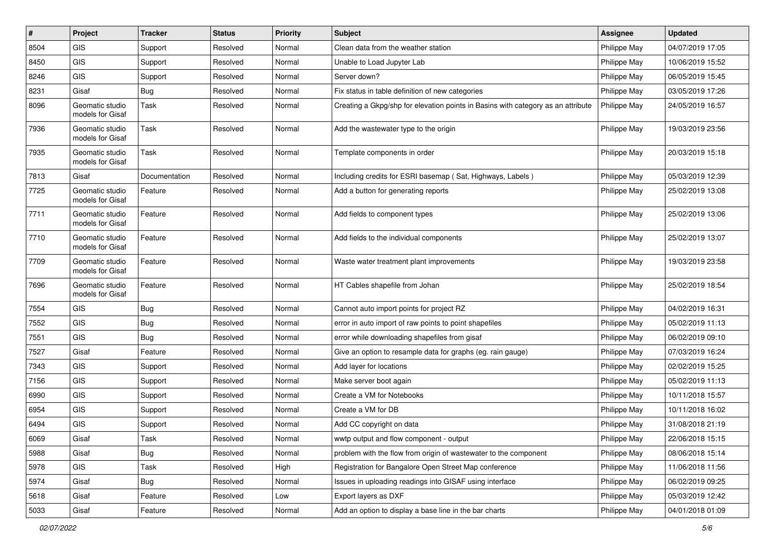| #    | Project                             | <b>Tracker</b> | <b>Status</b> | <b>Priority</b> | <b>Subject</b>                                                                   | <b>Assignee</b> | <b>Updated</b>   |
|------|-------------------------------------|----------------|---------------|-----------------|----------------------------------------------------------------------------------|-----------------|------------------|
| 8504 | <b>GIS</b>                          | Support        | Resolved      | Normal          | Clean data from the weather station                                              | Philippe May    | 04/07/2019 17:05 |
| 8450 | <b>GIS</b>                          | Support        | Resolved      | Normal          | Unable to Load Jupyter Lab                                                       | Philippe May    | 10/06/2019 15:52 |
| 8246 | <b>GIS</b>                          | Support        | Resolved      | Normal          | Server down?                                                                     | Philippe May    | 06/05/2019 15:45 |
| 8231 | Gisaf                               | Bug            | Resolved      | Normal          | Fix status in table definition of new categories                                 | Philippe May    | 03/05/2019 17:26 |
| 8096 | Geomatic studio<br>models for Gisaf | Task           | Resolved      | Normal          | Creating a Gkpg/shp for elevation points in Basins with category as an attribute | Philippe May    | 24/05/2019 16:57 |
| 7936 | Geomatic studio<br>models for Gisaf | Task           | Resolved      | Normal          | Add the wastewater type to the origin                                            | Philippe May    | 19/03/2019 23:56 |
| 7935 | Geomatic studio<br>models for Gisaf | Task           | Resolved      | Normal          | Template components in order                                                     | Philippe May    | 20/03/2019 15:18 |
| 7813 | Gisaf                               | Documentation  | Resolved      | Normal          | Including credits for ESRI basemap (Sat, Highways, Labels)                       | Philippe May    | 05/03/2019 12:39 |
| 7725 | Geomatic studio<br>models for Gisaf | Feature        | Resolved      | Normal          | Add a button for generating reports                                              | Philippe May    | 25/02/2019 13:08 |
| 7711 | Geomatic studio<br>models for Gisaf | Feature        | Resolved      | Normal          | Add fields to component types                                                    | Philippe May    | 25/02/2019 13:06 |
| 7710 | Geomatic studio<br>models for Gisaf | Feature        | Resolved      | Normal          | Add fields to the individual components                                          | Philippe May    | 25/02/2019 13:07 |
| 7709 | Geomatic studio<br>models for Gisaf | Feature        | Resolved      | Normal          | Waste water treatment plant improvements                                         | Philippe May    | 19/03/2019 23:58 |
| 7696 | Geomatic studio<br>models for Gisaf | Feature        | Resolved      | Normal          | HT Cables shapefile from Johan                                                   | Philippe May    | 25/02/2019 18:54 |
| 7554 | GIS                                 | Bug            | Resolved      | Normal          | Cannot auto import points for project RZ                                         | Philippe May    | 04/02/2019 16:31 |
| 7552 | GIS                                 | Bug            | Resolved      | Normal          | error in auto import of raw points to point shapefiles                           | Philippe May    | 05/02/2019 11:13 |
| 7551 | GIS                                 | Bug            | Resolved      | Normal          | error while downloading shapefiles from gisaf                                    | Philippe May    | 06/02/2019 09:10 |
| 7527 | Gisaf                               | Feature        | Resolved      | Normal          | Give an option to resample data for graphs (eg. rain gauge)                      | Philippe May    | 07/03/2019 16:24 |
| 7343 | GIS                                 | Support        | Resolved      | Normal          | Add layer for locations                                                          | Philippe May    | 02/02/2019 15:25 |
| 7156 | GIS                                 | Support        | Resolved      | Normal          | Make server boot again                                                           | Philippe May    | 05/02/2019 11:13 |
| 6990 | <b>GIS</b>                          | Support        | Resolved      | Normal          | Create a VM for Notebooks                                                        | Philippe May    | 10/11/2018 15:57 |
| 6954 | GIS                                 | Support        | Resolved      | Normal          | Create a VM for DB                                                               | Philippe May    | 10/11/2018 16:02 |
| 6494 | GIS                                 | Support        | Resolved      | Normal          | Add CC copyright on data                                                         | Philippe May    | 31/08/2018 21:19 |
| 6069 | Gisaf                               | Task           | Resolved      | Normal          | wwtp output and flow component - output                                          | Philippe May    | 22/06/2018 15:15 |
| 5988 | Gisaf                               | <b>Bug</b>     | Resolved      | Normal          | problem with the flow from origin of wastewater to the component                 | Philippe May    | 08/06/2018 15:14 |
| 5978 | GIS                                 | Task           | Resolved      | High            | Registration for Bangalore Open Street Map conference                            | Philippe May    | 11/06/2018 11:56 |
| 5974 | Gisaf                               | <b>Bug</b>     | Resolved      | Normal          | Issues in uploading readings into GISAF using interface                          | Philippe May    | 06/02/2019 09:25 |
| 5618 | Gisaf                               | Feature        | Resolved      | Low             | Export layers as DXF                                                             | Philippe May    | 05/03/2019 12:42 |
| 5033 | Gisaf                               | Feature        | Resolved      | Normal          | Add an option to display a base line in the bar charts                           | Philippe May    | 04/01/2018 01:09 |